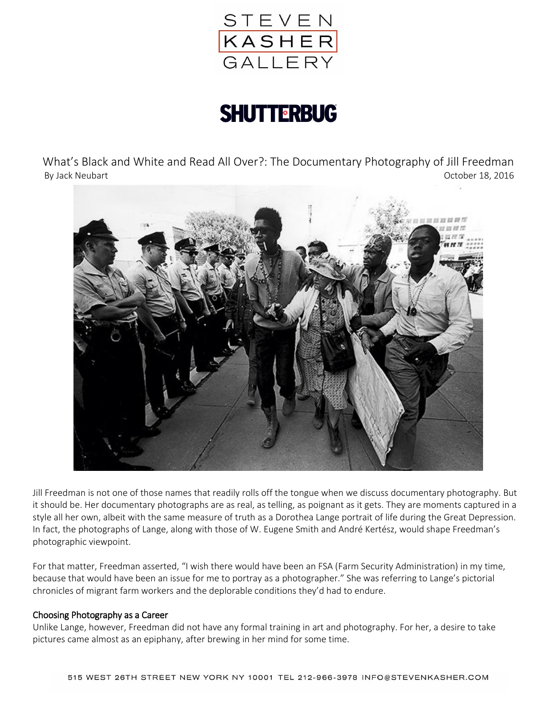

# **SHUTTERBUG**

What's Black and White and Read All Over?: The Documentary Photography of Jill Freedman By Jack Neubart **October 18, 2016** 



Jill Freedman is not one of those names that readily rolls off the tongue when we discuss documentary photography. But it should be. Her documentary photographs are as real, as telling, as poignant as it gets. They are moments captured in a style all her own, albeit with the same measure of truth as a Dorothea Lange portrait of life during the Great Depression. In fact, the photographs of Lange, along with those of W. Eugene Smith and André Kertész, would shape Freedman's photographic viewpoint.

For that matter, Freedman asserted, "I wish there would have been an FSA (Farm Security Administration) in my time, because that would have been an issue for me to portray as a photographer." She was referring to Lange's pictorial chronicles of migrant farm workers and the deplorable conditions they'd had to endure.

### Choosing Photography as a Career

Unlike Lange, however, Freedman did not have any formal training in art and photography. For her, a desire to take pictures came almost as an epiphany, after brewing in her mind for some time.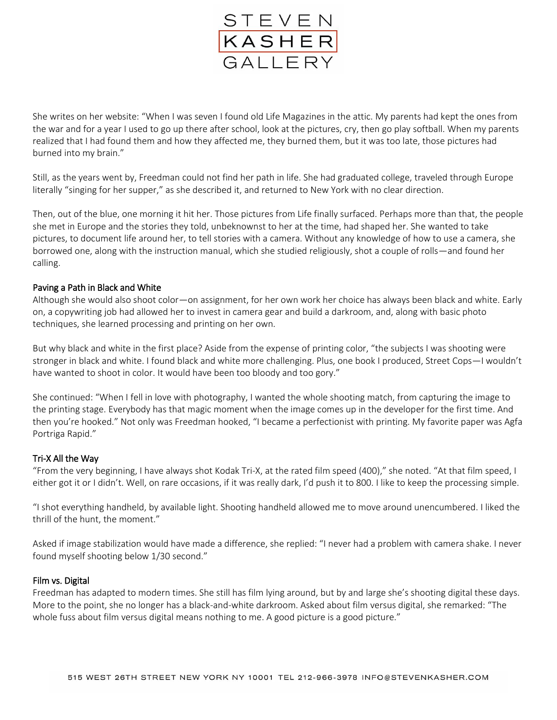

She writes on her website: "When I was seven I found old Life Magazines in the attic. My parents had kept the ones from the war and for a year I used to go up there after school, look at the pictures, cry, then go play softball. When my parents realized that I had found them and how they affected me, they burned them, but it was too late, those pictures had burned into my brain."

Still, as the years went by, Freedman could not find her path in life. She had graduated college, traveled through Europe literally "singing for her supper," as she described it, and returned to New York with no clear direction.

Then, out of the blue, one morning it hit her. Those pictures from Life finally surfaced. Perhaps more than that, the people she met in Europe and the stories they told, unbeknownst to her at the time, had shaped her. She wanted to take pictures, to document life around her, to tell stories with a camera. Without any knowledge of how to use a camera, she borrowed one, along with the instruction manual, which she studied religiously, shot a couple of rolls—and found her calling.

## Paving a Path in Black and White

Although she would also shoot color—on assignment, for her own work her choice has always been black and white. Early on, a copywriting job had allowed her to invest in camera gear and build a darkroom, and, along with basic photo techniques, she learned processing and printing on her own.

But why black and white in the first place? Aside from the expense of printing color, "the subjects I was shooting were stronger in black and white. I found black and white more challenging. Plus, one book I produced, Street Cops—I wouldn't have wanted to shoot in color. It would have been too bloody and too gory."

She continued: "When I fell in love with photography, I wanted the whole shooting match, from capturing the image to the printing stage. Everybody has that magic moment when the image comes up in the developer for the first time. And then you're hooked." Not only was Freedman hooked, "I became a perfectionist with printing. My favorite paper was Agfa Portriga Rapid."

### Tri-X All the Way

"From the very beginning, I have always shot Kodak Tri-X, at the rated film speed (400)," she noted. "At that film speed, I either got it or I didn't. Well, on rare occasions, if it was really dark, I'd push it to 800. I like to keep the processing simple.

"I shot everything handheld, by available light. Shooting handheld allowed me to move around unencumbered. I liked the thrill of the hunt, the moment."

Asked if image stabilization would have made a difference, she replied: "I never had a problem with camera shake. I never found myself shooting below 1/30 second."

### Film vs. Digital

Freedman has adapted to modern times. She still has film lying around, but by and large she's shooting digital these days. More to the point, she no longer has a black-and-white darkroom. Asked about film versus digital, she remarked: "The whole fuss about film versus digital means nothing to me. A good picture is a good picture."